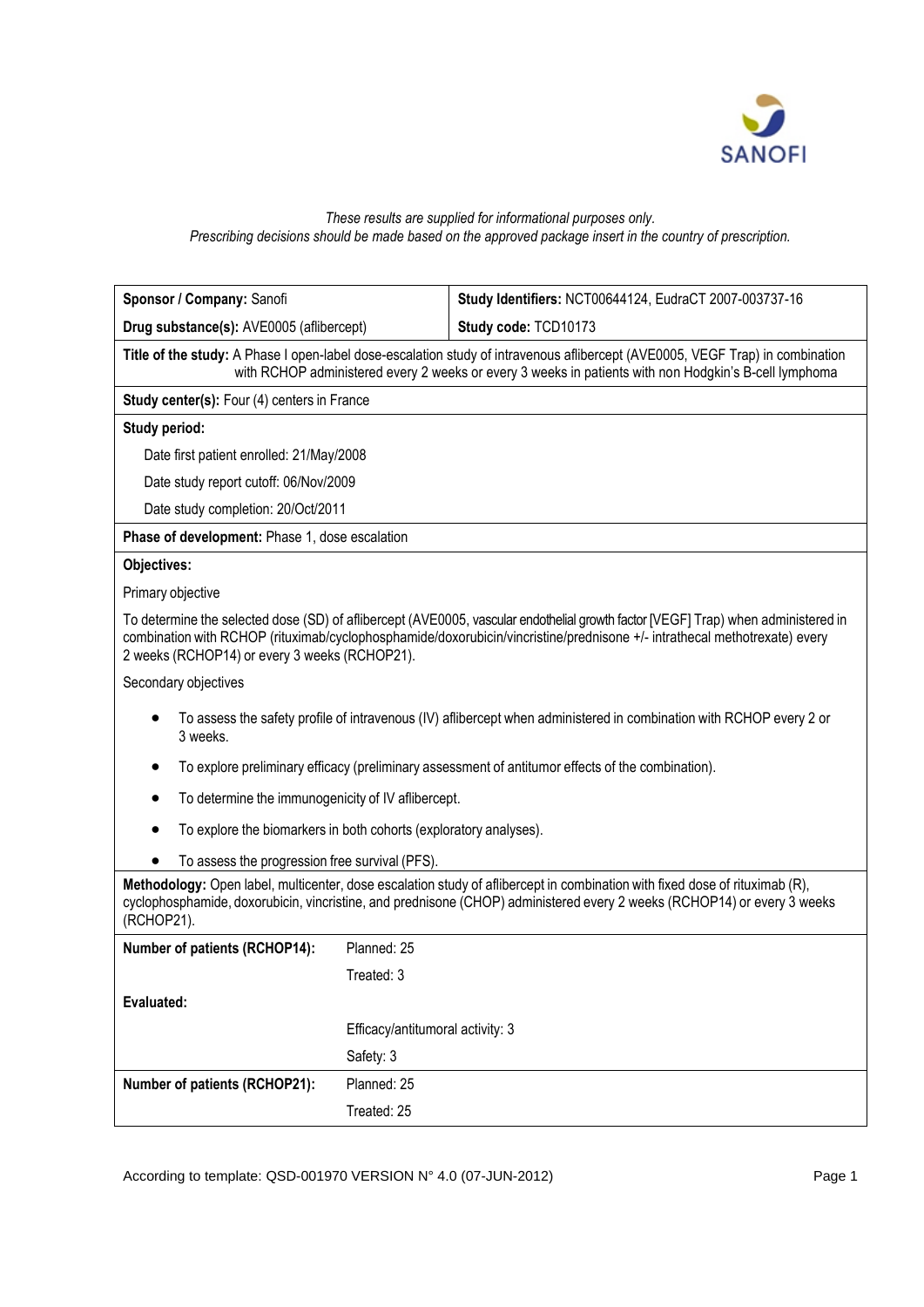

## *These results are supplied for informational purposes only. Prescribing decisions should be made based on the approved package insert in the country of prescription.*

| Sponsor / Company: Sanofi                                                                                                                                                                                                                                                                                       |                                  | Study Identifiers: NCT00644124, EudraCT 2007-003737-16 |  |  |  |  |  |
|-----------------------------------------------------------------------------------------------------------------------------------------------------------------------------------------------------------------------------------------------------------------------------------------------------------------|----------------------------------|--------------------------------------------------------|--|--|--|--|--|
| Drug substance(s): AVE0005 (aflibercept)                                                                                                                                                                                                                                                                        |                                  | Study code: TCD10173                                   |  |  |  |  |  |
| Title of the study: A Phase I open-label dose-escalation study of intravenous aflibercept (AVE0005, VEGF Trap) in combination<br>with RCHOP administered every 2 weeks or every 3 weeks in patients with non Hodgkin's B-cell lymphoma                                                                          |                                  |                                                        |  |  |  |  |  |
| Study center(s): Four (4) centers in France                                                                                                                                                                                                                                                                     |                                  |                                                        |  |  |  |  |  |
| <b>Study period:</b>                                                                                                                                                                                                                                                                                            |                                  |                                                        |  |  |  |  |  |
| Date first patient enrolled: 21/May/2008                                                                                                                                                                                                                                                                        |                                  |                                                        |  |  |  |  |  |
| Date study report cutoff: 06/Nov/2009                                                                                                                                                                                                                                                                           |                                  |                                                        |  |  |  |  |  |
| Date study completion: 20/Oct/2011                                                                                                                                                                                                                                                                              |                                  |                                                        |  |  |  |  |  |
| Phase of development: Phase 1, dose escalation                                                                                                                                                                                                                                                                  |                                  |                                                        |  |  |  |  |  |
| Objectives:                                                                                                                                                                                                                                                                                                     |                                  |                                                        |  |  |  |  |  |
| Primary objective                                                                                                                                                                                                                                                                                               |                                  |                                                        |  |  |  |  |  |
| To determine the selected dose (SD) of aflibercept (AVE0005, vascular endothelial growth factor [VEGF] Trap) when administered in<br>combination with RCHOP (rituximab/cyclophosphamide/doxorubicin/vincristine/prednisone +/- intrathecal methotrexate) every<br>2 weeks (RCHOP14) or every 3 weeks (RCHOP21). |                                  |                                                        |  |  |  |  |  |
| Secondary objectives                                                                                                                                                                                                                                                                                            |                                  |                                                        |  |  |  |  |  |
| To assess the safety profile of intravenous (IV) aflibercept when administered in combination with RCHOP every 2 or<br>3 weeks.                                                                                                                                                                                 |                                  |                                                        |  |  |  |  |  |
| To explore preliminary efficacy (preliminary assessment of antitumor effects of the combination).                                                                                                                                                                                                               |                                  |                                                        |  |  |  |  |  |
| To determine the immunogenicity of IV aflibercept.                                                                                                                                                                                                                                                              |                                  |                                                        |  |  |  |  |  |
| To explore the biomarkers in both cohorts (exploratory analyses).                                                                                                                                                                                                                                               |                                  |                                                        |  |  |  |  |  |
| To assess the progression free survival (PFS).                                                                                                                                                                                                                                                                  |                                  |                                                        |  |  |  |  |  |
| Methodology: Open label, multicenter, dose escalation study of aflibercept in combination with fixed dose of rituximab (R),<br>cyclophosphamide, doxorubicin, vincristine, and prednisone (CHOP) administered every 2 weeks (RCHOP14) or every 3 weeks<br>(RCHOP21).                                            |                                  |                                                        |  |  |  |  |  |
| <b>Number of patients (RCHOP14):</b>                                                                                                                                                                                                                                                                            | Planned: 25                      |                                                        |  |  |  |  |  |
|                                                                                                                                                                                                                                                                                                                 | Treated: 3                       |                                                        |  |  |  |  |  |
| Evaluated:                                                                                                                                                                                                                                                                                                      |                                  |                                                        |  |  |  |  |  |
|                                                                                                                                                                                                                                                                                                                 | Efficacy/antitumoral activity: 3 |                                                        |  |  |  |  |  |
|                                                                                                                                                                                                                                                                                                                 | Safety: 3                        |                                                        |  |  |  |  |  |
| Number of patients (RCHOP21):                                                                                                                                                                                                                                                                                   | Planned: 25                      |                                                        |  |  |  |  |  |
|                                                                                                                                                                                                                                                                                                                 | Treated: 25                      |                                                        |  |  |  |  |  |

According to template: QSD-001970 VERSION N° 4.0 (07-JUN-2012) Page 1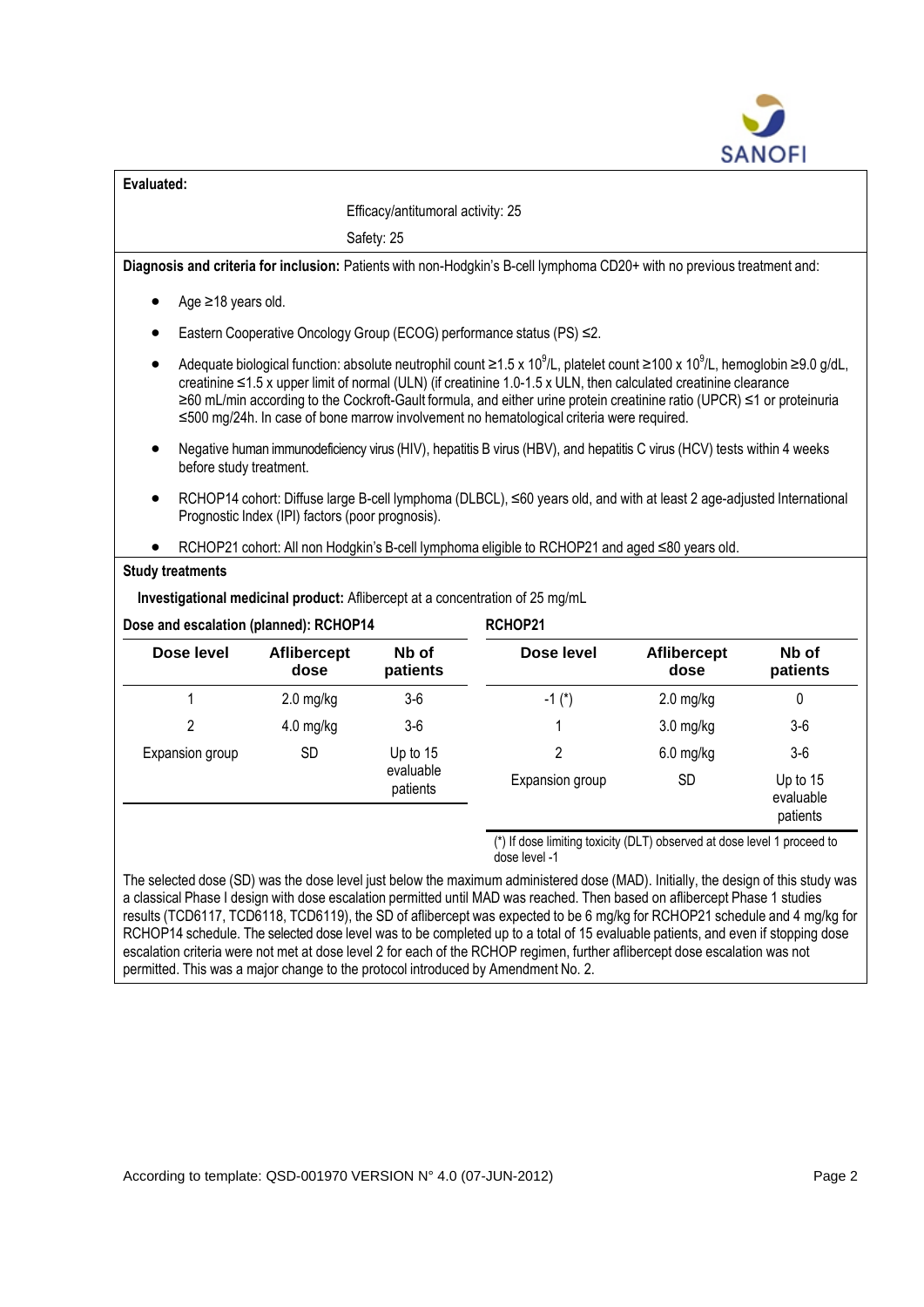

| Evaluated:                             |                                                                                                                                                                          |                                                                                          |                                                                                                                                                                                                                                                                                                                                                                                                                                                                                                    |                     |                                   |  |  |  |  |  |  |
|----------------------------------------|--------------------------------------------------------------------------------------------------------------------------------------------------------------------------|------------------------------------------------------------------------------------------|----------------------------------------------------------------------------------------------------------------------------------------------------------------------------------------------------------------------------------------------------------------------------------------------------------------------------------------------------------------------------------------------------------------------------------------------------------------------------------------------------|---------------------|-----------------------------------|--|--|--|--|--|--|
| Efficacy/antitumoral activity: 25      |                                                                                                                                                                          |                                                                                          |                                                                                                                                                                                                                                                                                                                                                                                                                                                                                                    |                     |                                   |  |  |  |  |  |  |
|                                        | Safety: 25                                                                                                                                                               |                                                                                          |                                                                                                                                                                                                                                                                                                                                                                                                                                                                                                    |                     |                                   |  |  |  |  |  |  |
|                                        | Diagnosis and criteria for inclusion: Patients with non-Hodgkin's B-cell lymphoma CD20+ with no previous treatment and:                                                  |                                                                                          |                                                                                                                                                                                                                                                                                                                                                                                                                                                                                                    |                     |                                   |  |  |  |  |  |  |
|                                        | Age ≥18 years old.                                                                                                                                                       |                                                                                          |                                                                                                                                                                                                                                                                                                                                                                                                                                                                                                    |                     |                                   |  |  |  |  |  |  |
|                                        | Eastern Cooperative Oncology Group (ECOG) performance status (PS) ≤2.                                                                                                    |                                                                                          |                                                                                                                                                                                                                                                                                                                                                                                                                                                                                                    |                     |                                   |  |  |  |  |  |  |
| $\bullet$                              |                                                                                                                                                                          |                                                                                          | Adequate biological function: absolute neutrophil count $\geq 1.5 \times 10^9$ /L, platelet count $\geq 100 \times 10^9$ /L, hemoglobin $\geq 9.0$ g/dL,<br>creatinine ≤1.5 x upper limit of normal (ULN) (if creatinine 1.0-1.5 x ULN, then calculated creatinine clearance<br>≥60 mL/min according to the Cockroft-Gault formula, and either urine protein creatinine ratio (UPCR) ≤1 or proteinuria<br>≤500 mg/24h. In case of bone marrow involvement no hematological criteria were required. |                     |                                   |  |  |  |  |  |  |
|                                        | Negative human immunodeficiency virus (HIV), hepatitis B virus (HBV), and hepatitis C virus (HCV) tests within 4 weeks<br>before study treatment.                        |                                                                                          |                                                                                                                                                                                                                                                                                                                                                                                                                                                                                                    |                     |                                   |  |  |  |  |  |  |
| $\bullet$                              | RCHOP14 cohort: Diffuse large B-cell lymphoma (DLBCL), ≤60 years old, and with at least 2 age-adjusted International<br>Prognostic Index (IPI) factors (poor prognosis). |                                                                                          |                                                                                                                                                                                                                                                                                                                                                                                                                                                                                                    |                     |                                   |  |  |  |  |  |  |
|                                        |                                                                                                                                                                          |                                                                                          | RCHOP21 cohort: All non Hodgkin's B-cell lymphoma eligible to RCHOP21 and aged ≤80 years old.                                                                                                                                                                                                                                                                                                                                                                                                      |                     |                                   |  |  |  |  |  |  |
| <b>Study treatments</b>                |                                                                                                                                                                          |                                                                                          |                                                                                                                                                                                                                                                                                                                                                                                                                                                                                                    |                     |                                   |  |  |  |  |  |  |
|                                        |                                                                                                                                                                          |                                                                                          | Investigational medicinal product: Aflibercept at a concentration of 25 mg/mL                                                                                                                                                                                                                                                                                                                                                                                                                      |                     |                                   |  |  |  |  |  |  |
| Dose and escalation (planned): RCHOP14 |                                                                                                                                                                          |                                                                                          | RCHOP21                                                                                                                                                                                                                                                                                                                                                                                                                                                                                            |                     |                                   |  |  |  |  |  |  |
| Dose level                             | <b>Aflibercept</b><br>dose                                                                                                                                               | Nb of<br>patients                                                                        | Dose level                                                                                                                                                                                                                                                                                                                                                                                                                                                                                         | Aflibercept<br>dose | Nb of<br>patients                 |  |  |  |  |  |  |
| 1                                      | $2.0$ mg/kg                                                                                                                                                              | $3-6$                                                                                    | $-1$ (*)                                                                                                                                                                                                                                                                                                                                                                                                                                                                                           | $2.0$ mg/kg         | $\mathbf 0$                       |  |  |  |  |  |  |
| $\overline{c}$                         | 4.0 mg/kg                                                                                                                                                                | $3-6$                                                                                    | 1                                                                                                                                                                                                                                                                                                                                                                                                                                                                                                  | 3.0 mg/kg           | $3-6$                             |  |  |  |  |  |  |
| Expansion group                        | <b>SD</b>                                                                                                                                                                | Up to 15<br>evaluable<br>patients                                                        | $\overline{2}$                                                                                                                                                                                                                                                                                                                                                                                                                                                                                     | $6.0$ mg/kg         | $3-6$                             |  |  |  |  |  |  |
|                                        |                                                                                                                                                                          |                                                                                          | Expansion group                                                                                                                                                                                                                                                                                                                                                                                                                                                                                    | <b>SD</b>           | Up to 15<br>evaluable<br>patients |  |  |  |  |  |  |
|                                        |                                                                                                                                                                          | (*) If dose limiting toxicity (DLT) observed at dose level 1 proceed to<br>dose level -1 |                                                                                                                                                                                                                                                                                                                                                                                                                                                                                                    |                     |                                   |  |  |  |  |  |  |

The selected dose (SD) was the dose level just below the maximum administered dose (MAD). Initially, the design of this study was a classical Phase I design with dose escalation permitted until MAD was reached. Then based on aflibercept Phase 1 studies results (TCD6117, TCD6118, TCD6119), the SD of aflibercept was expected to be 6 mg/kg for RCHOP21 schedule and 4 mg/kg for RCHOP14 schedule. The selected dose level was to be completed up to a total of 15 evaluable patients, and even if stopping dose escalation criteria were not met at dose level 2 for each of the RCHOP regimen, further aflibercept dose escalation was not permitted. This was a major change to the protocol introduced by Amendment No. 2.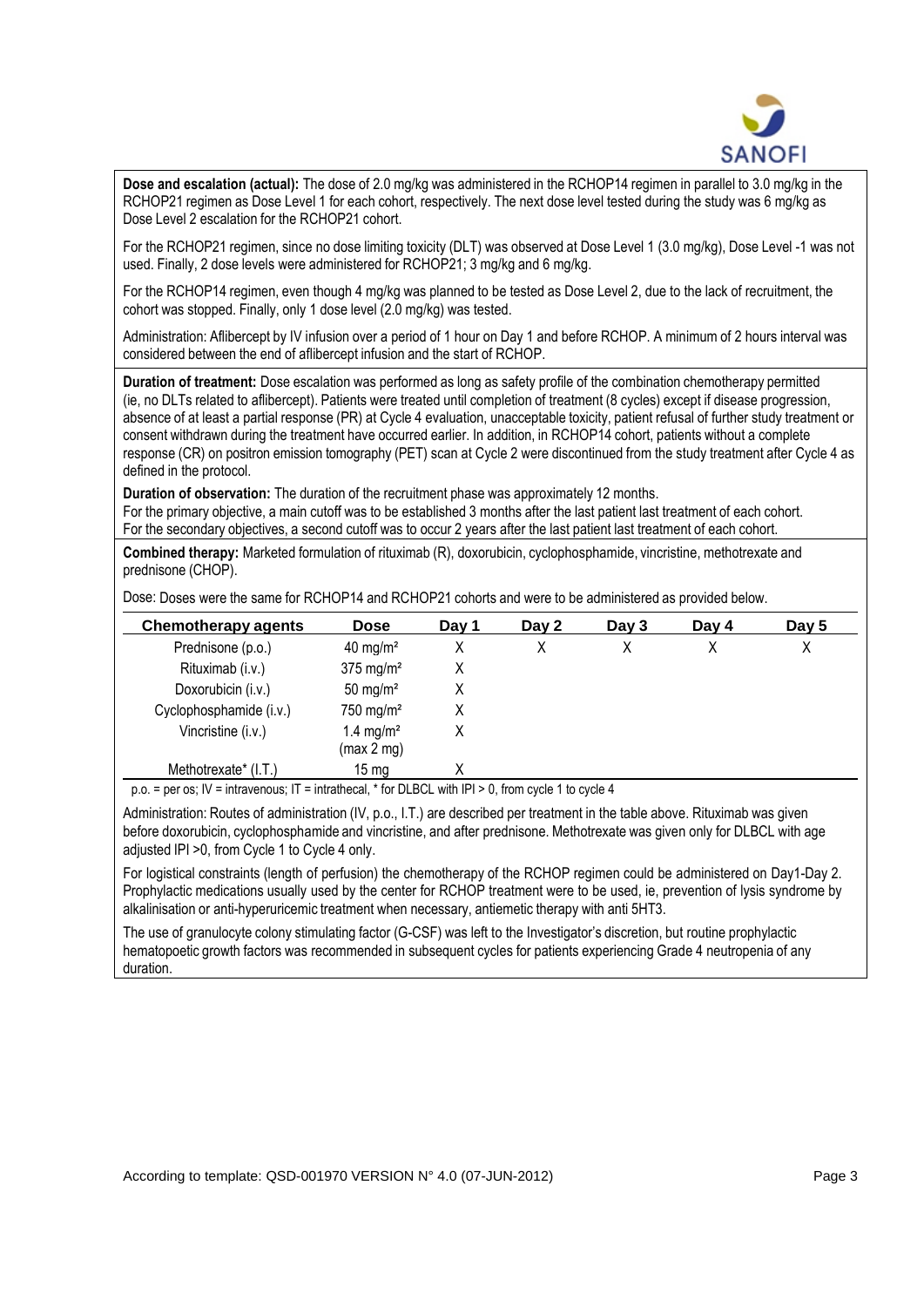

**Dose and escalation (actual):** The dose of 2.0 mg/kg was administered in the RCHOP14 regimen in parallel to 3.0 mg/kg in the RCHOP21 regimen as Dose Level 1 for each cohort, respectively. The next dose level tested during the study was 6 mg/kg as Dose Level 2 escalation for the RCHOP21 cohort.

For the RCHOP21 regimen, since no dose limiting toxicity (DLT) was observed at Dose Level 1 (3.0 mg/kg), Dose Level -1 was not used. Finally, 2 dose levels were administered for RCHOP21; 3 mg/kg and 6 mg/kg.

For the RCHOP14 regimen, even though 4 mg/kg was planned to be tested as Dose Level 2, due to the lack of recruitment, the cohort was stopped. Finally, only 1 dose level (2.0 mg/kg) was tested.

Administration: Aflibercept by IV infusion over a period of 1 hour on Day 1 and before RCHOP. A minimum of 2 hours interval was considered between the end of aflibercept infusion and the start of RCHOP.

**Duration of treatment:** Dose escalation was performed as long as safety profile of the combination chemotherapy permitted (ie, no DLTs related to aflibercept). Patients were treated until completion of treatment (8 cycles) except if disease progression, absence of at least a partial response (PR) at Cycle 4 evaluation, unacceptable toxicity, patient refusal of further study treatment or consent withdrawn during the treatment have occurred earlier. In addition, in RCHOP14 cohort, patients without a complete response (CR) on positron emission tomography (PET) scan at Cycle 2 were discontinued from the study treatment after Cycle 4 as defined in the protocol.

**Duration of observation:** The duration of the recruitment phase was approximately 12 months. For the primary objective, a main cutoff was to be established 3 months after the last patient last treatment of each cohort. For the secondary objectives, a second cutoff was to occur 2 years after the last patient last treatment of each cohort.

**Combined therapy:** Marketed formulation of rituximab (R), doxorubicin, cyclophosphamide, vincristine, methotrexate and prednisone (CHOP).

Dose: Doses were the same for RCHOP14 and RCHOP21 cohorts and were to be administered as provided below.

| <b>Chemotherapy agents</b> | <b>Dose</b>                         | Dav 1 | Day 2 | Day $3$ | Day 4 | Day 5 |
|----------------------------|-------------------------------------|-------|-------|---------|-------|-------|
| Prednisone (p.o.)          | $40 \text{ mg/m}^2$                 | Χ     | х     |         |       | Χ     |
| Rituximab (i.v.)           | $375$ mg/m <sup>2</sup>             | Χ     |       |         |       |       |
| Doxorubicin (i.v.)         | 50 mg/ $m2$                         | Χ     |       |         |       |       |
| Cyclophosphamide (i.v.)    | $750$ mg/m <sup>2</sup>             | Χ     |       |         |       |       |
| Vincristine (i.v.)         | 1.4 mg/m <sup>2</sup><br>(max 2 mg) | Χ     |       |         |       |       |
| Methotrexate* (I.T.)       | $15 \text{ mg}$                     | χ     |       |         |       |       |

p.o. = per os; IV = intravenous; IT = intrathecal, \* for DLBCL with IPI > 0, from cycle 1 to cycle 4

Administration: Routes of administration (IV, p.o., I.T.) are described per treatment in the table above. Rituximab was given before doxorubicin, cyclophosphamide and vincristine, and after prednisone. Methotrexate was given only for DLBCL with age adjusted IPI >0, from Cycle 1 to Cycle 4 only.

For logistical constraints (length of perfusion) the chemotherapy of the RCHOP regimen could be administered on Day1-Day 2. Prophylactic medications usually used by the center for RCHOP treatment were to be used, ie, prevention of lysis syndrome by alkalinisation or anti-hyperuricemic treatment when necessary, antiemetic therapy with anti 5HT3.

The use of granulocyte colony stimulating factor (G-CSF) was left to the Investigator's discretion, but routine prophylactic hematopoetic growth factors was recommended in subsequent cycles for patients experiencing Grade 4 neutropenia of any duration.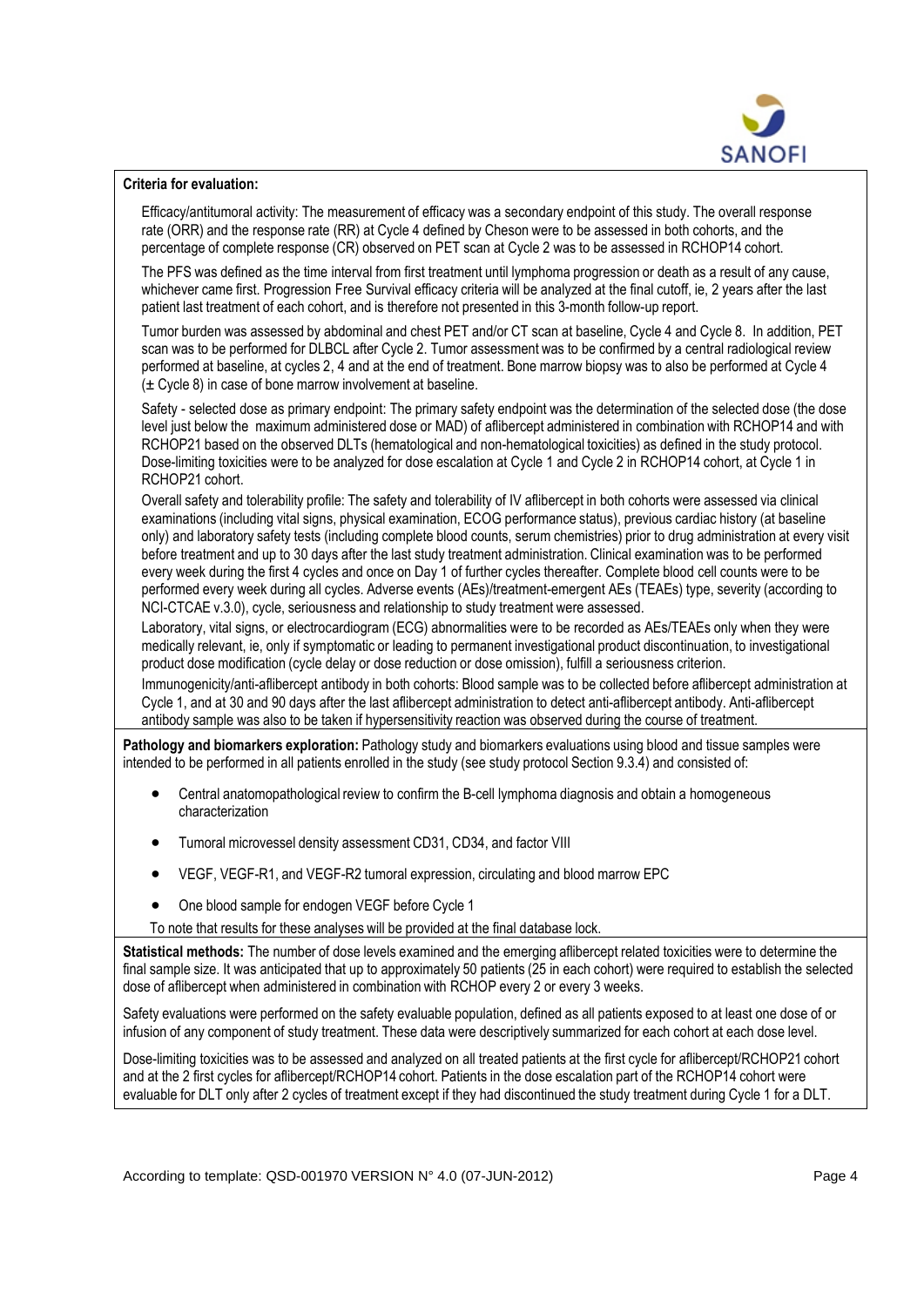

## **Criteria for evaluation:**

Efficacy/antitumoral activity: The measurement of efficacy was a secondary endpoint of this study. The overall response rate (ORR) and the response rate (RR) at Cycle 4 defined by Cheson were to be assessed in both cohorts, and the percentage of complete response (CR) observed on PET scan at Cycle 2 was to be assessed in RCHOP14 cohort.

The PFS was defined as the time interval from first treatment until lymphoma progression or death as a result of any cause, whichever came first. Progression Free Survival efficacy criteria will be analyzed at the final cutoff, ie, 2 years after the last patient last treatment of each cohort, and is therefore not presented in this 3-month follow-up report.

Tumor burden was assessed by abdominal and chest PET and/or CT scan at baseline, Cycle 4 and Cycle 8. In addition, PET scan was to be performed for DLBCL after Cycle 2. Tumor assessment was to be confirmed by a central radiological review performed at baseline, at cycles 2, 4 and at the end of treatment. Bone marrow biopsy was to also be performed at Cycle 4  $(\pm$  Cycle 8) in case of bone marrow involvement at baseline.

Safety - selected dose as primary endpoint: The primary safety endpoint was the determination of the selected dose (the dose level just below the maximum administered dose or MAD) of aflibercept administered in combination with RCHOP14 and with RCHOP21 based on the observed DLTs (hematological and non-hematological toxicities) as defined in the study protocol. Dose-limiting toxicities were to be analyzed for dose escalation at Cycle 1 and Cycle 2 in RCHOP14 cohort, at Cycle 1 in RCHOP21 cohort.

Overall safety and tolerability profile: The safety and tolerability of IV aflibercept in both cohorts were assessed via clinical examinations (including vital signs, physical examination, ECOG performance status), previous cardiac history (at baseline only) and laboratory safety tests (including complete blood counts, serum chemistries) prior to drug administration at every visit before treatment and up to 30 days after the last study treatment administration. Clinical examination was to be performed every week during the first 4 cycles and once on Day 1 of further cycles thereafter. Complete blood cell counts were to be performed every week during all cycles. Adverse events (AEs)/treatment-emergent AEs (TEAEs) type, severity (according to NCI-CTCAE v.3.0), cycle, seriousness and relationship to study treatment were assessed.

Laboratory, vital signs, or electrocardiogram (ECG) abnormalities were to be recorded as AEs/TEAEs only when they were medically relevant, ie, only if symptomatic or leading to permanent investigational product discontinuation, to investigational product dose modification (cycle delay or dose reduction or dose omission), fulfill a seriousness criterion.

Immunogenicity/anti-aflibercept antibody in both cohorts: Blood sample was to be collected before aflibercept administration at Cycle 1, and at 30 and 90 days after the last aflibercept administration to detect anti-aflibercept antibody. Anti-aflibercept antibody sample was also to be taken if hypersensitivity reaction was observed during the course of treatment.

**Pathology and biomarkers exploration:** Pathology study and biomarkers evaluations using blood and tissue samples were intended to be performed in all patients enrolled in the study (see study protocol Section 9.3.4) and consisted of:

- Central anatomopathological review to confirm the B-cell lymphoma diagnosis and obtain a homogeneous characterization
- Tumoral microvessel density assessment CD31, CD34, and factor VIII
- VEGF, VEGF-R1, and VEGF-R2 tumoral expression, circulating and blood marrow EPC
- One blood sample for endogen VEGF before Cycle 1
- To note that results for these analyses will be provided at the final database lock.

**Statistical methods:** The number of dose levels examined and the emerging aflibercept related toxicities were to determine the final sample size. It was anticipated that up to approximately 50 patients (25 in each cohort) were required to establish the selected dose of aflibercept when administered in combination with RCHOP every 2 or every 3 weeks.

Safety evaluations were performed on the safety evaluable population, defined as all patients exposed to at least one dose of or infusion of any component of study treatment. These data were descriptively summarized for each cohort at each dose level.

Dose-limiting toxicities was to be assessed and analyzed on all treated patients at the first cycle for aflibercept/RCHOP21 cohort and at the 2 first cycles for aflibercept/RCHOP14 cohort. Patients in the dose escalation part of the RCHOP14 cohort were evaluable for DLT only after 2 cycles of treatment except if they had discontinued the study treatment during Cycle 1 for a DLT.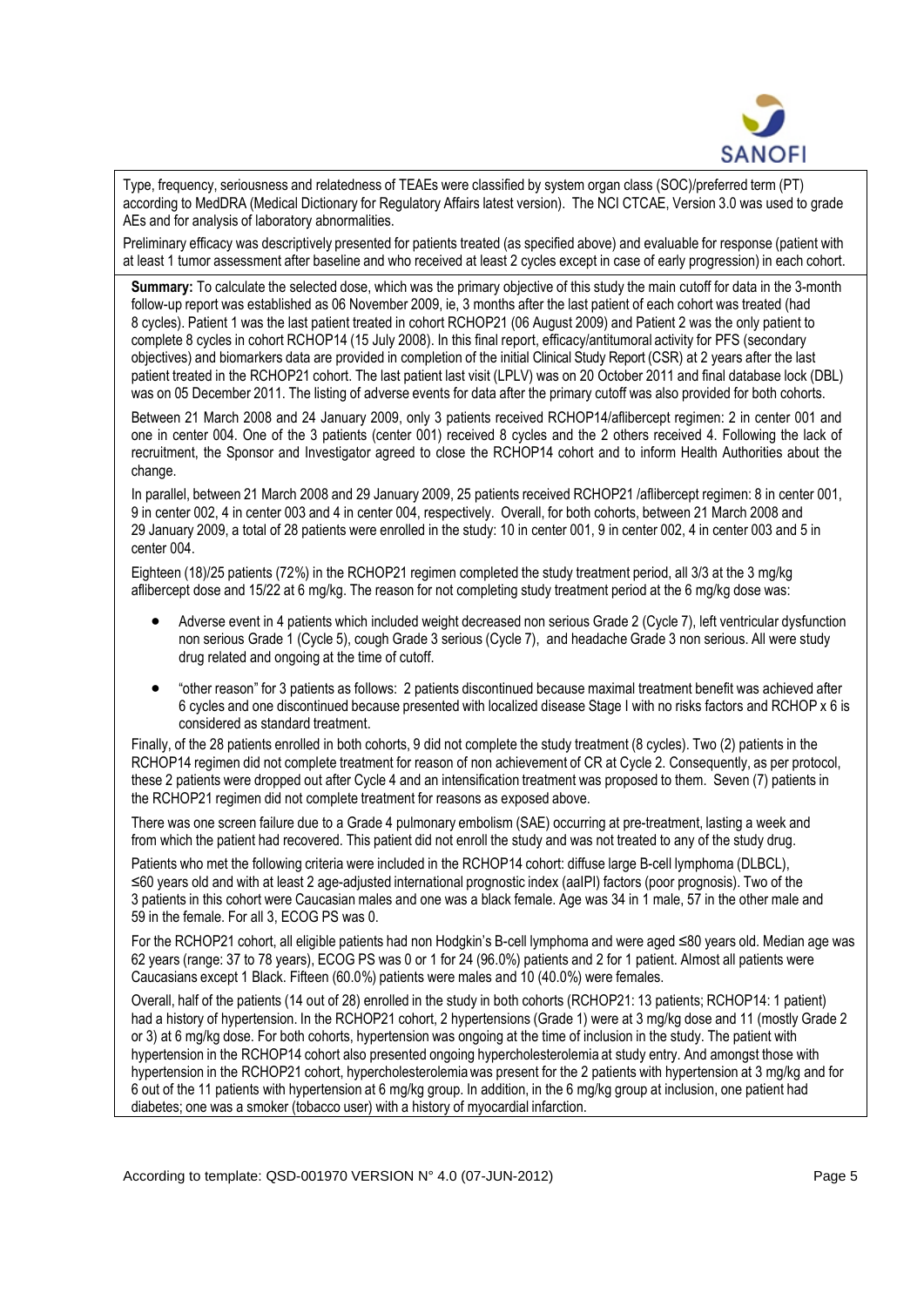

Type, frequency, seriousness and relatedness of TEAEs were classified by system organ class (SOC)/preferred term (PT) according to MedDRA (Medical Dictionary for Regulatory Affairs latest version). The NCI CTCAE, Version 3.0 was used to grade AEs and for analysis of laboratory abnormalities.

Preliminary efficacy was descriptively presented for patients treated (as specified above) and evaluable for response (patient with at least 1 tumor assessment after baseline and who received at least 2 cycles except in case of early progression) in each cohort.

**Summary:** To calculate the selected dose, which was the primary objective of this study the main cutoff for data in the 3-month follow-up report was established as 06 November 2009, ie, 3 months after the last patient of each cohort was treated (had 8 cycles). Patient 1 was the last patient treated in cohort RCHOP21 (06 August 2009) and Patient 2 was the only patient to complete 8 cycles in cohort RCHOP14 (15 July 2008). In this final report, efficacy/antitumoral activity for PFS (secondary objectives) and biomarkers data are provided in completion of the initial Clinical Study Report (CSR) at 2 years after the last patient treated in the RCHOP21 cohort. The last patient last visit (LPLV) was on 20 October 2011 and final database lock (DBL) was on 05 December 2011. The listing of adverse events for data after the primary cutoff was also provided for both cohorts.

Between 21 March 2008 and 24 January 2009, only 3 patients received RCHOP14/aflibercept regimen: 2 in center 001 and one in center 004. One of the 3 patients (center 001) received 8 cycles and the 2 others received 4. Following the lack of recruitment, the Sponsor and Investigator agreed to close the RCHOP14 cohort and to inform Health Authorities about the change.

In parallel, between 21 March 2008 and 29 January 2009, 25 patients received RCHOP21 /aflibercept regimen: 8 in center 001, 9 in center 002, 4 in center 003 and 4 in center 004, respectively. Overall, for both cohorts, between 21 March 2008 and 29 January 2009, a total of 28 patients were enrolled in the study: 10 in center 001, 9 in center 002, 4 in center 003 and 5 in center 004.

Eighteen (18)/25 patients (72%) in the RCHOP21 regimen completed the study treatment period, all 3/3 at the 3 mg/kg aflibercept dose and 15/22 at 6 mg/kg. The reason for not completing study treatment period at the 6 mg/kg dose was:

- Adverse event in 4 patients which included weight decreased non serious Grade 2 (Cycle 7), left ventricular dysfunction non serious Grade 1 (Cycle 5), cough Grade 3 serious (Cycle 7), and headache Grade 3 non serious. All were study drug related and ongoing at the time of cutoff.
- "other reason" for 3 patients as follows: 2 patients discontinued because maximal treatment benefit was achieved after 6 cycles and one discontinued because presented with localized disease Stage I with no risks factors and RCHOP x 6 is considered as standard treatment.

Finally, of the 28 patients enrolled in both cohorts, 9 did not complete the study treatment (8 cycles). Two (2) patients in the RCHOP14 regimen did not complete treatment for reason of non achievement of CR at Cycle 2. Consequently, as per protocol, these 2 patients were dropped out after Cycle 4 and an intensification treatment was proposed to them. Seven (7) patients in the RCHOP21 regimen did not complete treatment for reasons as exposed above.

There was one screen failure due to a Grade 4 pulmonary embolism (SAE) occurring at pre-treatment, lasting a week and from which the patient had recovered. This patient did not enroll the study and was not treated to any of the study drug.

Patients who met the following criteria were included in the RCHOP14 cohort: diffuse large B-cell lymphoma (DLBCL), ≤60 years old and with at least 2 age-adjusted international prognostic index (aaIPI) factors (poor prognosis). Two of the 3 patients in this cohort were Caucasian males and one was a black female. Age was 34 in 1 male, 57 in the other male and 59 in the female. For all 3, ECOG PS was 0.

For the RCHOP21 cohort, all eligible patients had non Hodgkin's B-cell lymphoma and were aged ≤80 years old. Median age was 62 years (range: 37 to 78 years), ECOG PS was 0 or 1 for 24 (96.0%) patients and 2 for 1 patient. Almost all patients were Caucasians except 1 Black. Fifteen (60.0%) patients were males and 10 (40.0%) were females.

Overall, half of the patients (14 out of 28) enrolled in the study in both cohorts (RCHOP21: 13 patients; RCHOP14: 1 patient) had a history of hypertension. In the RCHOP21 cohort, 2 hypertensions (Grade 1) were at 3 mg/kg dose and 11 (mostly Grade 2 or 3) at 6 mg/kg dose. For both cohorts, hypertension was ongoing at the time of inclusion in the study. The patient with hypertension in the RCHOP14 cohort also presented ongoing hypercholesterolemia at study entry. And amongst those with hypertension in the RCHOP21 cohort, hypercholesterolemiawas present for the 2 patients with hypertension at 3 mg/kg and for 6 out of the 11 patients with hypertension at 6 mg/kg group. In addition, in the 6 mg/kg group at inclusion, one patient had diabetes; one was a smoker (tobacco user) with a history of myocardial infarction.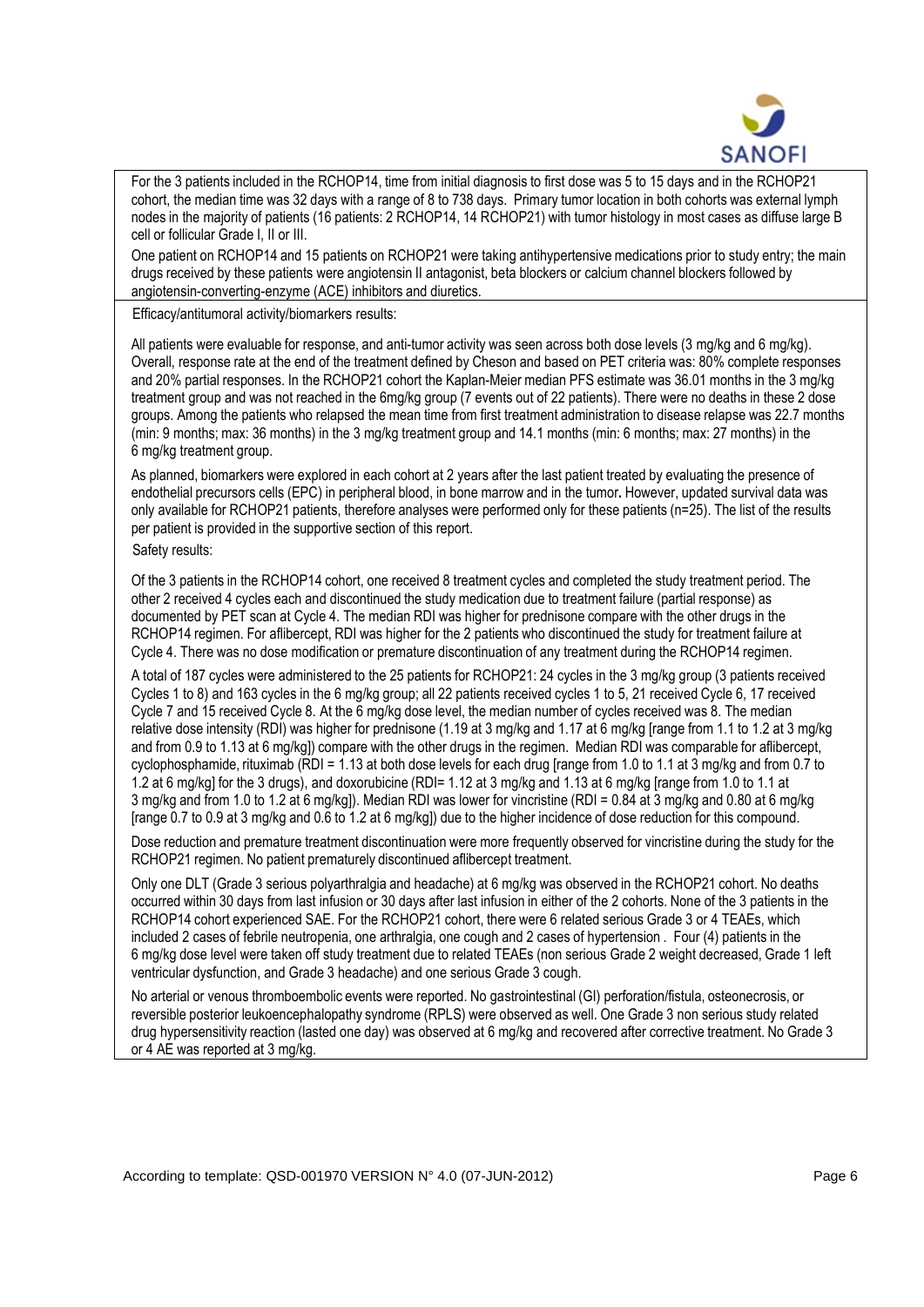

For the 3 patients included in the RCHOP14, time from initial diagnosis to first dose was 5 to 15 days and in the RCHOP21 cohort, the median time was 32 days with a range of 8 to 738 days. Primary tumor location in both cohorts was external lymph nodes in the majority of patients (16 patients: 2 RCHOP14, 14 RCHOP21) with tumor histology in most cases as diffuse large B cell or follicular Grade I, II or III.

One patient on RCHOP14 and 15 patients on RCHOP21 were taking antihypertensive medications prior to study entry; the main drugs received by these patients were angiotensin II antagonist, beta blockers or calcium channel blockers followed by angiotensin-converting-enzyme (ACE) inhibitors and diuretics.

Efficacy/antitumoral activity/biomarkers results:

All patients were evaluable for response, and anti-tumor activity was seen across both dose levels (3 mg/kg and 6 mg/kg). Overall, response rate at the end of the treatment defined by Cheson and based on PET criteria was: 80% complete responses and 20% partial responses. In the RCHOP21 cohort the Kaplan-Meier median PFS estimate was 36.01 months in the 3 mg/kg treatment group and was not reached in the 6mg/kg group (7 events out of 22 patients). There were no deaths in these 2 dose groups. Among the patients who relapsed the mean time from first treatment administration to disease relapse was 22.7 months (min: 9 months; max: 36 months) in the 3 mg/kg treatment group and 14.1 months (min: 6 months; max: 27 months) in the 6 mg/kg treatment group.

As planned, biomarkers were explored in each cohort at 2 years after the last patient treated by evaluating the presence of endothelial precursors cells (EPC) in peripheral blood, in bone marrow and in the tumor**.** However, updated survival data was only available for RCHOP21 patients, therefore analyses were performed only for these patients (n=25). The list of the results per patient is provided in the supportive section of this report.

Safety results:

Of the 3 patients in the RCHOP14 cohort, one received 8 treatment cycles and completed the study treatment period. The other 2 received 4 cycles each and discontinued the study medication due to treatment failure (partial response) as documented by PET scan at Cycle 4. The median RDI was higher for prednisone compare with the other drugs in the RCHOP14 regimen. For aflibercept, RDI was higher for the 2 patients who discontinued the study for treatment failure at Cycle 4. There was no dose modification or premature discontinuation of any treatment during the RCHOP14 regimen.

A total of 187 cycles were administered to the 25 patients for RCHOP21: 24 cycles in the 3 mg/kg group (3 patients received Cycles 1 to 8) and 163 cycles in the 6 mg/kg group; all 22 patients received cycles 1 to 5, 21 received Cycle 6, 17 received Cycle 7 and 15 received Cycle 8. At the 6 mg/kg dose level, the median number of cycles received was 8. The median relative dose intensity (RDI) was higher for prednisone (1.19 at 3 mg/kg and 1.17 at 6 mg/kg [range from 1.1 to 1.2 at 3 mg/kg and from 0.9 to 1.13 at 6 mg/kg]) compare with the other drugs in the regimen. Median RDI was comparable for aflibercept, cyclophosphamide, rituximab (RDI = 1.13 at both dose levels for each drug [range from 1.0 to 1.1 at 3 mg/kg and from 0.7 to 1.2 at 6 mg/kg] for the 3 drugs), and doxorubicine (RDI= 1.12 at 3 mg/kg and 1.13 at 6 mg/kg [range from 1.0 to 1.1 at 3 mg/kg and from 1.0 to 1.2 at 6 mg/kg]). Median RDI was lower for vincristine (RDI = 0.84 at 3 mg/kg and 0.80 at 6 mg/kg [range 0.7 to 0.9 at 3 mg/kg and 0.6 to 1.2 at 6 mg/kg]) due to the higher incidence of dose reduction for this compound.

Dose reduction and premature treatment discontinuation were more frequently observed for vincristine during the study for the RCHOP21 regimen. No patient prematurely discontinued aflibercept treatment.

Only one DLT (Grade 3 serious polyarthralgia and headache) at 6 mg/kg was observed in the RCHOP21 cohort. No deaths occurred within 30 days from last infusion or 30 days after last infusion in either of the 2 cohorts. None of the 3 patients in the RCHOP14 cohort experienced SAE. For the RCHOP21 cohort, there were 6 related serious Grade 3 or 4 TEAEs, which included 2 cases of febrile neutropenia, one arthralgia, one cough and 2 cases of hypertension . Four (4) patients in the 6 mg/kg dose level were taken off study treatment due to related TEAEs (non serious Grade 2 weight decreased, Grade 1 left ventricular dysfunction, and Grade 3 headache) and one serious Grade 3 cough.

No arterial or venous thromboembolic events were reported. No gastrointestinal (GI) perforation/fistula, osteonecrosis, or reversible posterior leukoencephalopathy syndrome (RPLS) were observed as well. One Grade 3 non serious study related drug hypersensitivity reaction (lasted one day) was observed at 6 mg/kg and recovered after corrective treatment. No Grade 3 or 4 AE was reported at 3 mg/kg.